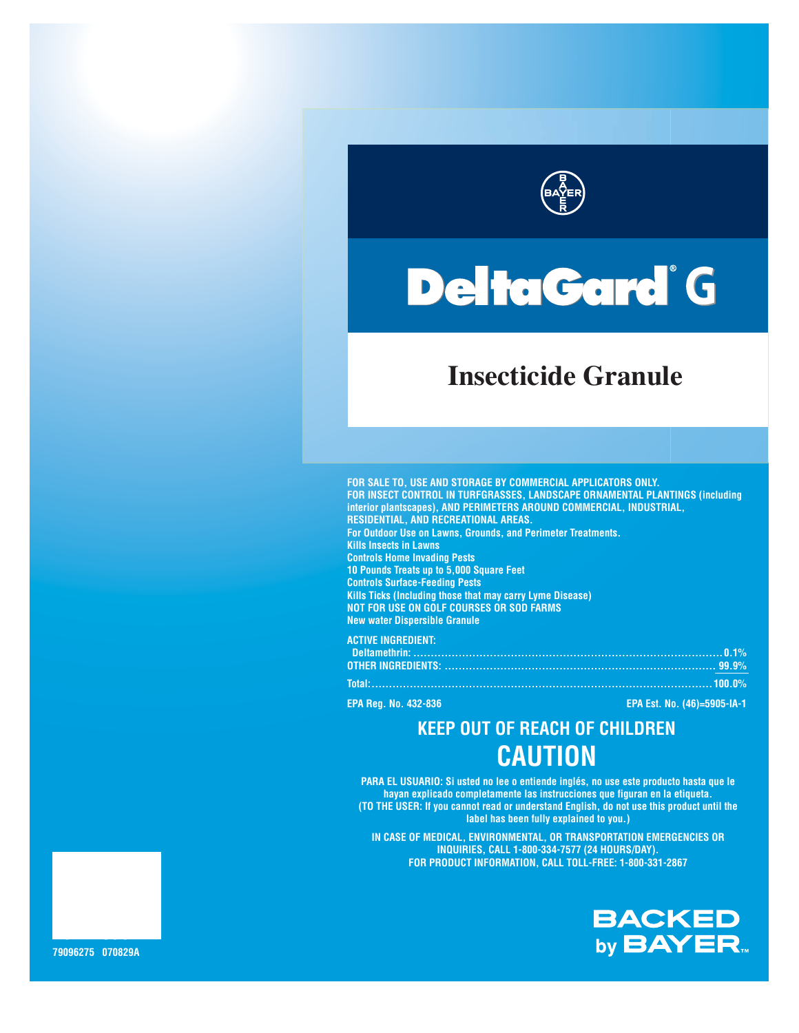

# **DeltaGard** G

# **Insecticide Granule**

**FOR SALE TO, USE AND STORAGE BY COMMERCIAL APPLICATORS ONLY. FOR INSECT CONTROL IN TURFGRASSES, LANDSCAPE ORNAMENTAL PLANTINGS (including interior plantscapes), AND PERIMETERS AROUND COMMERCIAL, INDUSTRIAL, RESIDENTIAL, AND RECREATIONAL AREAS. For Outdoor Use on Lawns, Grounds, and Perimeter Treatments. Kills Insects in Lawns Controls Home Invading Pests 10 Pounds Treats up to 5,000 Square Feet Controls Surface-Feeding Pests Kills Ticks (Including those that may carry Lyme Disease) NOT FOR USE ON GOLF COURSES OR SOD FARMS New water Dispersible Granule**

**ACTIVE INGREDIENT: Deltamethrin: .........................................................................................0.1% OTHER INGREDIENTS: .............................................................................. 99.9% Total:..................................................................................................100.0%**

**EPA Reg. No. 432-836 EPA Est. No. (46)=5905-IA-1**

# **KEEP OUT OF REACH OF CHILDREN CAUTION**

**PARA EL USUARIO: Si usted no lee o entiende inglés, no use este producto hasta que le hayan explicado completamente las instrucciones que figuran en la etiqueta. (TO THE USER: If you cannot read or understand English, do not use this product until the label has been fully explained to you.)**

**IN CASE OF MEDICAL, ENVIRONMENTAL, OR TRANSPORTATION EMERGENCIES OR INQUIRIES, CALL 1-800-334-7577 (24 HOURS/DAY). FOR PRODUCT INFORMATION, CALL TOLL-FREE: 1-800-331-2867**



**79121539 79096275 070829A**

**20 LBS**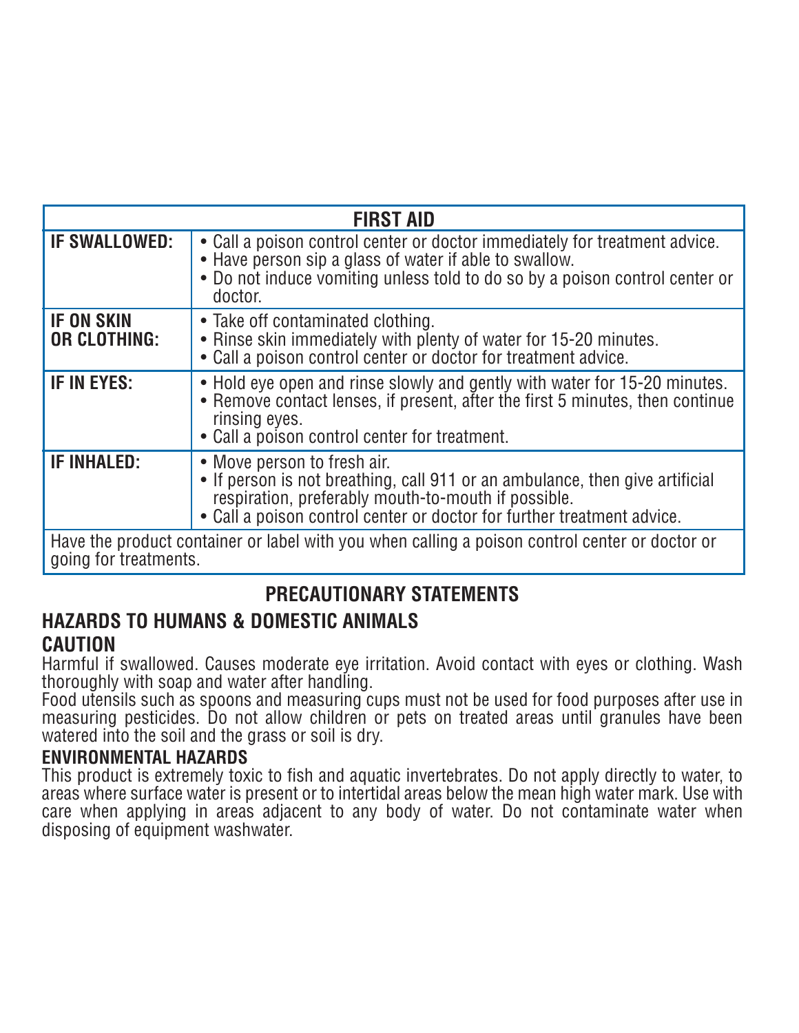| <b>FIRST AID</b>                                                                                                        |                                                                                                                                                                                                                                              |  |  |  |  |
|-------------------------------------------------------------------------------------------------------------------------|----------------------------------------------------------------------------------------------------------------------------------------------------------------------------------------------------------------------------------------------|--|--|--|--|
| <b>IF SWALLOWED:</b>                                                                                                    | • Call a poison control center or doctor immediately for treatment advice.<br>• Have person sip a glass of water if able to swallow.<br>• Do not induce vomiting unless told to do so by a poison control center or<br>doctor.               |  |  |  |  |
| <b>IF ON SKIN</b><br><b>OR CLOTHING:</b>                                                                                | • Take off contaminated clothing.<br>• Rinse skin immediately with plenty of water for 15-20 minutes.<br>• Call a poison control center or doctor for treatment advice.                                                                      |  |  |  |  |
| IF IN EYES:                                                                                                             | • Hold eye open and rinse slowly and gently with water for 15-20 minutes.<br>• Remove contact lenses, if present, after the first 5 minutes, then continue<br>rinsing eyes.<br>• Call a poison control center for treatment.                 |  |  |  |  |
| <b>IF INHALED:</b>                                                                                                      | • Move person to fresh air.<br>• If person is not breathing, call 911 or an ambulance, then give artificial<br>respiration, preferably mouth-to-mouth if possible.<br>• Call a poison control center or doctor for further treatment advice. |  |  |  |  |
| Have the product container or label with you when calling a poison control center or doctor or<br>going for treatments. |                                                                                                                                                                                                                                              |  |  |  |  |

## **PRECAUTIONARY STATEMENTS**

## **HAZARDS TO HUMANS & DOMESTIC ANIMALS CAUTION**

Harmful if swallowed. Causes moderate eye irritation. Avoid contact with eyes or clothing. Wash thoroughly with soap and water after handling.

Food utensils such as spoons and measuring cups must not be used for food purposes after use in measuring pesticides. Do not allow children or pets on treated areas until granules have been watered into the soil and the grass or soil is dry.

## **ENVIRONMENTAL HAZARDS**

This product is extremely toxic to fish and aquatic invertebrates. Do not apply directly to water, to areas where surface water is present or to intertidal areas below the mean high water mark. Use with care when applying in areas adjacent to any body of water. Do not contaminate water when disposing of equipment washwater.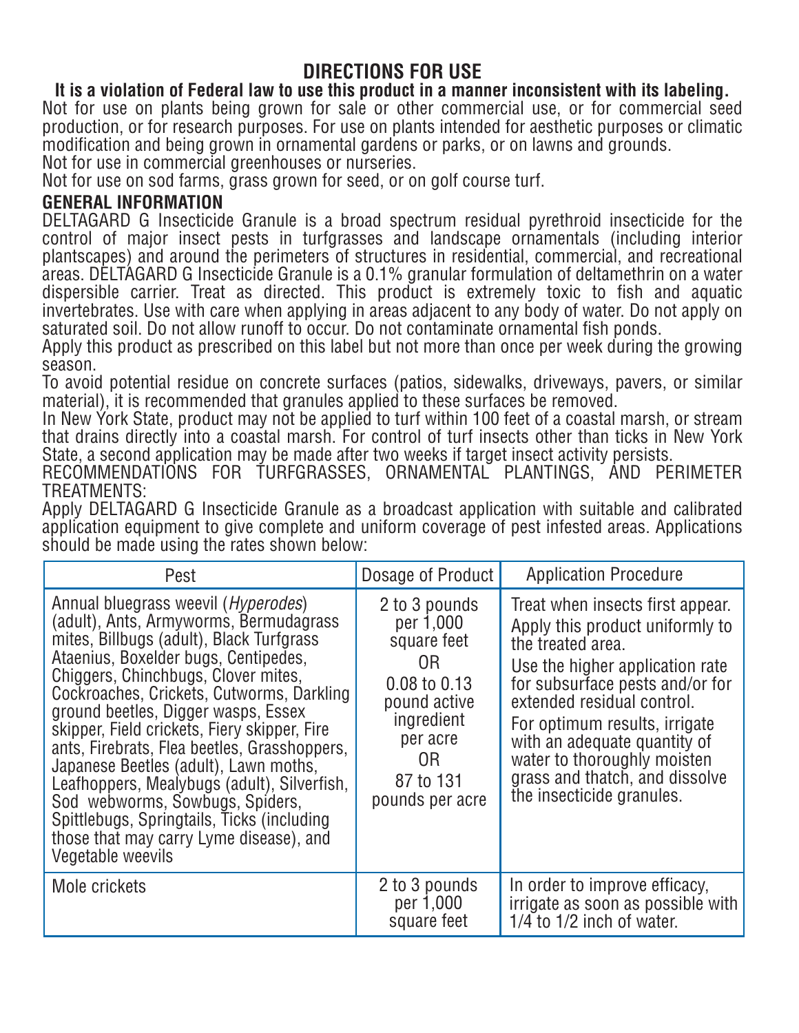## **DIRECTIONS FOR USE**

### **It is a violation of Federal law to use this product in a manner inconsistent with its labeling.**

Not for use on plants being grown for sale or other commercial use, or for commercial seed production, or for research purposes. For use on plants intended for aesthetic purposes or climatic modification and being grown in ornamental gardens or parks, or on lawns and grounds. Not for use in commercial greenhouses or nurseries.

Not for use on sod farms, grass grown for seed, or on golf course turf.

### **GENERAL INFORMATION**

DELTAGARD G Insecticide Granule is a broad spectrum residual pyrethroid insecticide for the control of major insect pests in turfgrasses and landscape ornamentals (including interior plantscapes) and around the perimeters of structures in residential, commercial, and recreational areas. DELTAGARD G Insecticide Granule is a 0.1% granular formulation of deltamethrin on a water dispersible carrier. Treat as directed. This product is extremely toxic to fish and aquatic invertebrates. Use with care when applying in areas adjacent to any body of water. Do not apply on saturated soil. Do not allow runoff to occur. Do not contaminate ornamental fish ponds.

Apply this product as prescribed on this label but not more than once per week during the growing season.

To avoid potential residue on concrete surfaces (patios, sidewalks, driveways, pavers, or similar material), it is recommended that granules applied to these surfaces be removed.

In New York State, product may not be applied to turf within 100 feet of a coastal marsh, or stream that drains directly into a coastal marsh. For control of turf insects other than ticks in New York State, a second application may be made after two weeks if target insect activity persists.

RECOMMENDATIONS FOR TURFGRASSES, ORNAMENTAL PLANTINGS, AND PERIMETER TRFATMENTS:

Apply DELTAGARD G Insecticide Granule as a broadcast application with suitable and calibrated application equipment to give complete and uniform coverage of pest infested areas. Applications should be made using the rates shown below:

| Pest                                                                                                                                                                                                                                                                                                                                                                                                                                                                                                                                                                                                                                           | Dosage of Product                                                                                                                               | <b>Application Procedure</b>                                                                                                                                                                                                                                                                                                                                |  |
|------------------------------------------------------------------------------------------------------------------------------------------------------------------------------------------------------------------------------------------------------------------------------------------------------------------------------------------------------------------------------------------------------------------------------------------------------------------------------------------------------------------------------------------------------------------------------------------------------------------------------------------------|-------------------------------------------------------------------------------------------------------------------------------------------------|-------------------------------------------------------------------------------------------------------------------------------------------------------------------------------------------------------------------------------------------------------------------------------------------------------------------------------------------------------------|--|
| Annual bluegrass weevil ( <i>Hyperodes</i> )<br>(adult), Ants, Armyworms, Bermudagrass<br>mites, Billbugs (adult), Black Turfgrass<br>Ataenius, Boxelder bugs, Centipedes,<br>Chiggers, Chinchbugs, Clover mites,<br>Cockroaches, Crickets, Cutworms, Darkling<br>ground beetles, Digger wasps, Essex<br>skipper, Field crickets, Fiery skipper, Fire<br>ants, Firebrats, Flea beetles, Grasshoppers,<br>Japanese Beetles (adult), Lawn moths,<br>Leafhoppers, Mealybugs (adult), Silverfish,<br>Sod webworms, Sowbugs, Spiders,<br>Spittlebugs, Springtails, Ticks (including<br>those that may carry Lyme disease), and<br>Vegetable weevils | 2 to 3 pounds<br>per 1,000<br>square feet<br>0R<br>0.08 to 0.13<br>pound active<br>ingredient<br>per acre<br>0R<br>87 to 131<br>pounds per acre | Treat when insects first appear.<br>Apply this product uniformly to<br>the treated area.<br>Use the higher application rate<br>for subsurface pests and/or for<br>extended residual control.<br>For optimum results, irrigate<br>with an adequate quantity of<br>water to thoroughly moisten<br>grass and thatch, and dissolve<br>the insecticide granules. |  |
| Mole crickets                                                                                                                                                                                                                                                                                                                                                                                                                                                                                                                                                                                                                                  | 2 to 3 pounds<br>per 1,000<br>square feet                                                                                                       | In order to improve efficacy,<br>irrigate as soon as possible with<br>$1/4$ to $1/2$ inch of water.                                                                                                                                                                                                                                                         |  |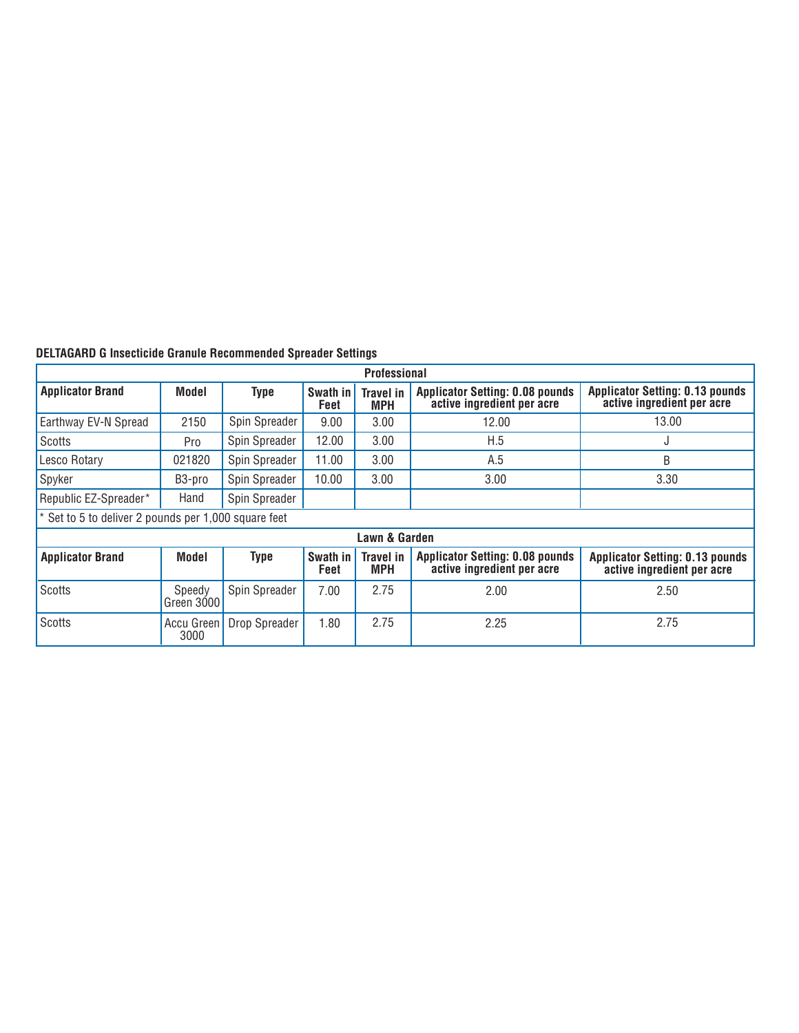| <b>Professional</b>                                  |                      |               |                  |                                |                                                                      |                                                                      |  |  |  |  |
|------------------------------------------------------|----------------------|---------------|------------------|--------------------------------|----------------------------------------------------------------------|----------------------------------------------------------------------|--|--|--|--|
| <b>Applicator Brand</b>                              | Model                | <b>Type</b>   | Swath in<br>Feet | <b>Travel in</b><br><b>MPH</b> | <b>Applicator Setting: 0.08 pounds</b><br>active ingredient per acre | <b>Applicator Setting: 0.13 pounds</b><br>active ingredient per acre |  |  |  |  |
| Earthway EV-N Spread                                 | 2150                 | Spin Spreader | 9.00             | 3.00                           | 12.00                                                                | 13.00                                                                |  |  |  |  |
| <b>Scotts</b>                                        | Pro                  | Spin Spreader | 12.00            | 3.00                           | H.5                                                                  | ٠J                                                                   |  |  |  |  |
| Lesco Rotary                                         | 021820               | Spin Spreader | 11.00            | 3.00                           | A.5                                                                  | B                                                                    |  |  |  |  |
| Spyker                                               | B3-pro               | Spin Spreader | 10.00            | 3.00                           | 3.00                                                                 | 3.30                                                                 |  |  |  |  |
| Republic EZ-Spreader*                                | Hand                 | Spin Spreader |                  |                                |                                                                      |                                                                      |  |  |  |  |
| * Set to 5 to deliver 2 pounds per 1,000 square feet |                      |               |                  |                                |                                                                      |                                                                      |  |  |  |  |
| Lawn & Garden                                        |                      |               |                  |                                |                                                                      |                                                                      |  |  |  |  |
| <b>Applicator Brand</b>                              | <b>Model</b>         | <b>Type</b>   | Swath in<br>Feet | <b>Travel in</b><br><b>MPH</b> | <b>Applicator Setting: 0.08 pounds</b><br>active ingredient per acre | <b>Applicator Setting: 0.13 pounds</b><br>active ingredient per acre |  |  |  |  |
| <b>Scotts</b>                                        | Speedy<br>Green 3000 | Spin Spreader | 7.00             | 2.75                           | 2.00                                                                 | 2.50                                                                 |  |  |  |  |
| Scotts                                               | Accu Green<br>3000   | Drop Spreader | 1.80             | 2.75                           | 2.25                                                                 | 2.75                                                                 |  |  |  |  |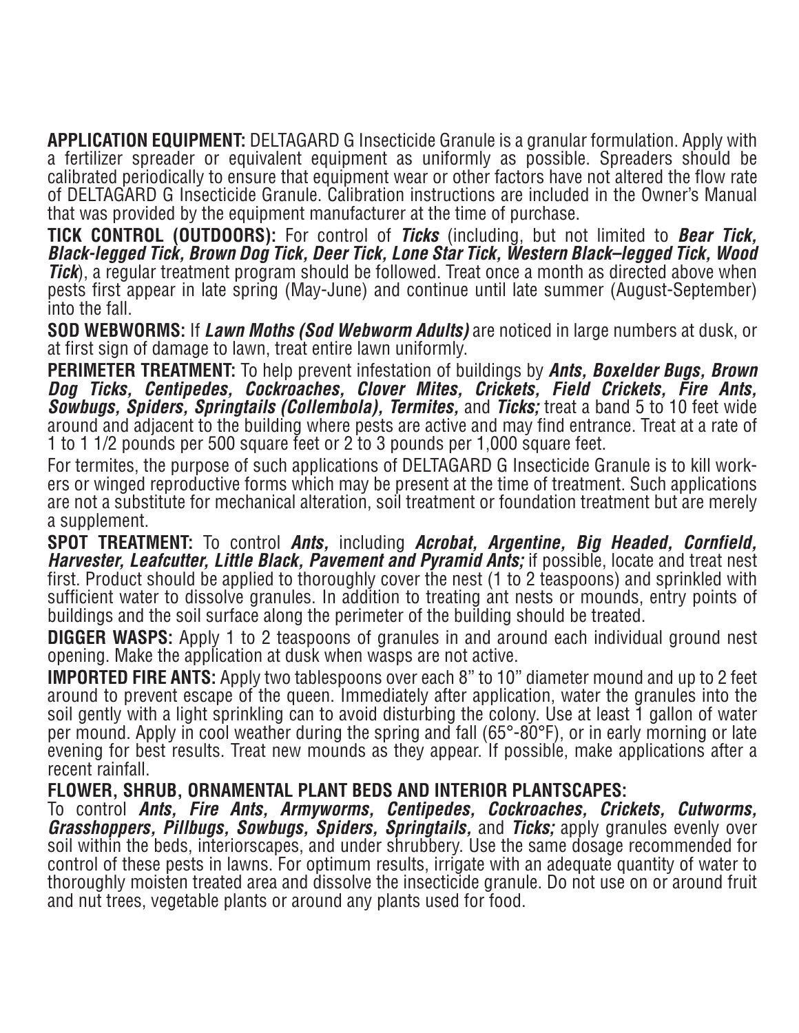**APPLICATION EQUIPMENT:** DELTAGARD G Insecticide Granule is a granular formulation. Apply with a fertilizer spreader or equivalent equipment as uniformly as possible. Spreaders should be calibrated periodically to ensure that equipment wear or other factors have not altered the flow rate of DELTAGARD G Insecticide Granule. Calibration instructions are included in the Owner's Manual that was provided by the equipment manufacturer at the time of purchase.

**TICK CONTROL (OUTDOORS):** For control of **Ticks** (including, but not limited to **Bear Tick, Black-legged Tick, Brown Dog Tick, Deer Tick, Lone Star Tick, Western Black–legged Tick, Wood Tick**), a regular treatment program should be followed. Treat once a month as directed above when pests first appear in late spring (May-June) and continue until late summer (August-September) into the fall.

**SOD WEBWORMS:** If Lawn Moths (Sod Webworm Adults) are noticed in large numbers at dusk, or at first sign of damage to lawn, treat entire lawn uniformly.

**PERIMETER TREATMENT:** To help prevent infestation of buildings by **Ants, Boxelder Bugs, Brown Dog Ticks, Centipedes, Cockroaches, Clover Mites, Crickets, Field Crickets, Fire Ants,**  Sowbugs, Spiders, Springtails (Collembola), Termites, and Ticks; treat a band 5 to 10 feet wide around and adjacent to the building where pests are active and may find entrance. Treat at a rate of 1 to 1 1/2 pounds per 500 square feet or 2 to 3 pounds per 1,000 square feet.

For termites, the purpose of such applications of DELTAGARD G Insecticide Granule is to kill workers or winged reproductive forms which may be present at the time of treatment. Such applications are not a substitute for mechanical alteration, soil treatment or foundation treatment but are merely a supplement.

**SPOT TREATMENT:** To control *Ants*, including *Acrobat*, *Argentine*, *Big Headed, Cornfield,* **Harvester, Leafcutter, Little Black, Pavement and Pyramid Ants;** if possible, locate and treat nest first. Product should be applied to thoroughly cover the nest (1 to 2 teaspoons) and sprinkled with sufficient water to dissolve granules. In addition to treating ant nests or mounds, entry points of buildings and the soil surface along the perimeter of the building should be treated.

**DIGGER WASPS:** Apply 1 to 2 teaspoons of granules in and around each individual ground nest opening. Make the application at dusk when wasps are not active.

**IMPORTED FIRE ANTS:** Apply two tablespoons over each 8" to 10" diameter mound and up to 2 feet around to prevent escape of the queen. Immediately after application, water the granules into the soil gently with a light sprinkling can to avoid disturbing the colony. Use at least 1 gallon of water per mound. Apply in cool weather during the spring and fall  $(65^{\circ}-80^{\circ}F)$ , or in early morning or late evening for best results. Treat new mounds as they appear. If possible, make applications after a recent rainfall.

#### **FLOWER, SHRUB, ORNAMENTAL PLANT BEDS AND INTERIOR PLANTSCAPES:**

To control *Ants, Fire Ants, Armyworms, Centipedes, Cockroaches, Crickets, Cutworms,* **Grasshoppers, Pillbugs, Sowbugs, Spiders, Springtails, and Ticks; apply granules evenly over** soil within the beds, interiorscapes, and under shrubbery. Use the same dosage recommended for control of these pests in lawns. For optimum results, irrigate with an adequate quantity of water to thoroughly moisten treated area and dissolve the insecticide granule. Do not use on or around fruit and nut trees, vegetable plants or around any plants used for food.